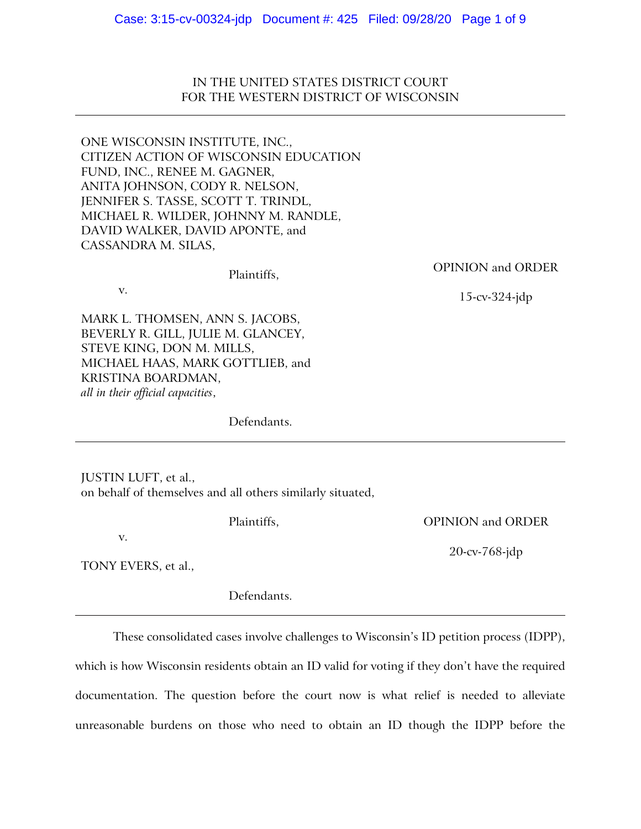IN THE UNITED STATES DISTRICT COURT FOR THE WESTERN DISTRICT OF WISCONSIN

ONE WISCONSIN INSTITUTE, INC., CITIZEN ACTION OF WISCONSIN EDUCATION FUND, INC., RENEE M. GAGNER, ANITA JOHNSON, CODY R. NELSON, JENNIFER S. TASSE, SCOTT T. TRINDL, MICHAEL R. WILDER, JOHNNY M. RANDLE, DAVID WALKER, DAVID APONTE, and CASSANDRA M. SILAS,

v.

OPINION and ORDER

15-cv-324-jdp

OPINION and ORDER

20-cv-768-jdp

MARK L. THOMSEN, ANN S. JACOBS, BEVERLY R. GILL, JULIE M. GLANCEY, STEVE KING, DON M. MILLS, MICHAEL HAAS, MARK GOTTLIEB, and KRISTINA BOARDMAN, *all in their official capacities*,

Defendants.

Plaintiffs,

JUSTIN LUFT, et al., on behalf of themselves and all others similarly situated,

v.

TONY EVERS, et al.,

Defendants.

Plaintiffs,

These consolidated cases involve challenges to Wisconsin's ID petition process (IDPP), which is how Wisconsin residents obtain an ID valid for voting if they don't have the required documentation. The question before the court now is what relief is needed to alleviate unreasonable burdens on those who need to obtain an ID though the IDPP before the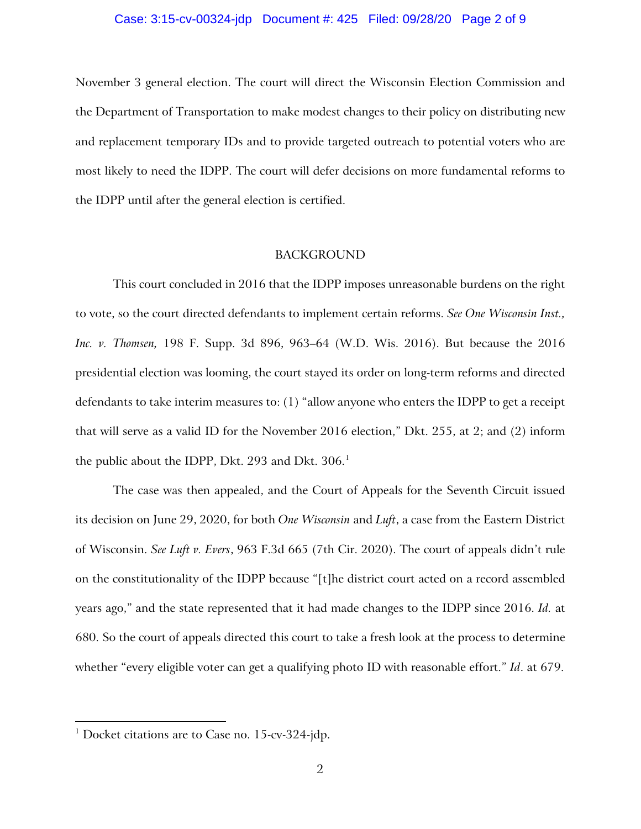## Case: 3:15-cv-00324-jdp Document #: 425 Filed: 09/28/20 Page 2 of 9

November 3 general election. The court will direct the Wisconsin Election Commission and the Department of Transportation to make modest changes to their policy on distributing new and replacement temporary IDs and to provide targeted outreach to potential voters who are most likely to need the IDPP. The court will defer decisions on more fundamental reforms to the IDPP until after the general election is certified.

### BACKGROUND

This court concluded in 2016 that the IDPP imposes unreasonable burdens on the right to vote, so the court directed defendants to implement certain reforms. *See One Wisconsin Inst., Inc. v. Thomsen,* 198 F. Supp. 3d 896, 963–64 (W.D. Wis. 2016). But because the 2016 presidential election was looming, the court stayed its order on long-term reforms and directed defendants to take interim measures to: (1) "allow anyone who enters the IDPP to get a receipt that will serve as a valid ID for the November 2016 election," Dkt. 255, at 2; and (2) inform the public about the IDPP, Dkt. 293 and Dkt.  $306<sup>1</sup>$  $306<sup>1</sup>$  $306<sup>1</sup>$ 

The case was then appealed, and the Court of Appeals for the Seventh Circuit issued its decision on June 29, 2020, for both *One Wisconsin* and *Luft*, a case from the Eastern District of Wisconsin. *See Luft v. Evers*, 963 F.3d 665 (7th Cir. 2020). The court of appeals didn't rule on the constitutionality of the IDPP because "[t]he district court acted on a record assembled years ago," and the state represented that it had made changes to the IDPP since 2016. *Id.* at 680. So the court of appeals directed this court to take a fresh look at the process to determine whether "every eligible voter can get a qualifying photo ID with reasonable effort." *Id*. at 679.

<span id="page-1-0"></span> $1$  Docket citations are to Case no. 15-cv-324-jdp.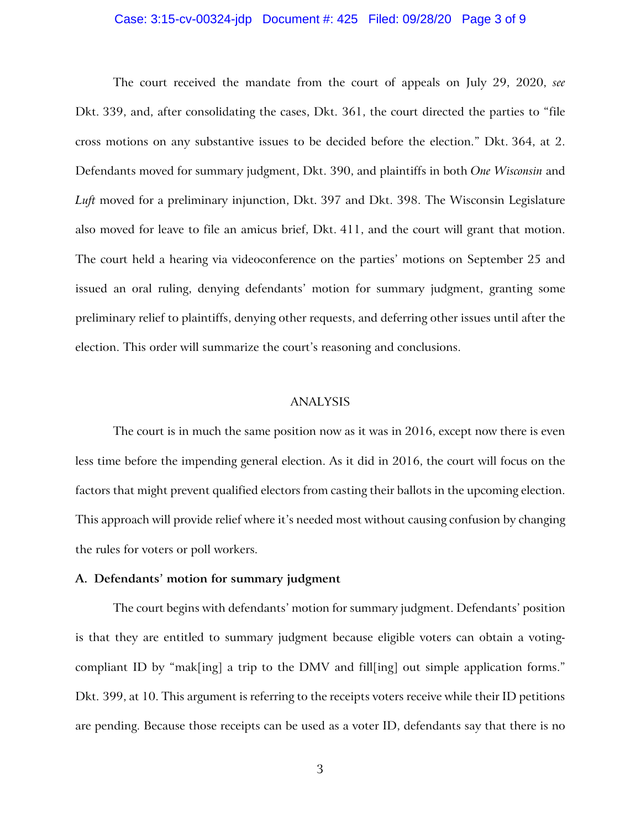## Case: 3:15-cv-00324-jdp Document #: 425 Filed: 09/28/20 Page 3 of 9

The court received the mandate from the court of appeals on July 29, 2020, *see*  Dkt. 339, and, after consolidating the cases, Dkt. 361, the court directed the parties to "file cross motions on any substantive issues to be decided before the election." Dkt. 364, at 2. Defendants moved for summary judgment, Dkt. 390, and plaintiffs in both *One Wisconsin* and *Luft* moved for a preliminary injunction, Dkt. 397 and Dkt. 398. The Wisconsin Legislature also moved for leave to file an amicus brief, Dkt. 411, and the court will grant that motion. The court held a hearing via videoconference on the parties' motions on September 25 and issued an oral ruling, denying defendants' motion for summary judgment, granting some preliminary relief to plaintiffs, denying other requests, and deferring other issues until after the election. This order will summarize the court's reasoning and conclusions.

## ANALYSIS

The court is in much the same position now as it was in 2016, except now there is even less time before the impending general election. As it did in 2016, the court will focus on the factors that might prevent qualified electors from casting their ballots in the upcoming election. This approach will provide relief where it's needed most without causing confusion by changing the rules for voters or poll workers.

#### **A. Defendants' motion for summary judgment**

The court begins with defendants' motion for summary judgment. Defendants' position is that they are entitled to summary judgment because eligible voters can obtain a votingcompliant ID by "mak[ing] a trip to the DMV and fill[ing] out simple application forms." Dkt. 399, at 10. This argument is referring to the receipts voters receive while their ID petitions are pending. Because those receipts can be used as a voter ID, defendants say that there is no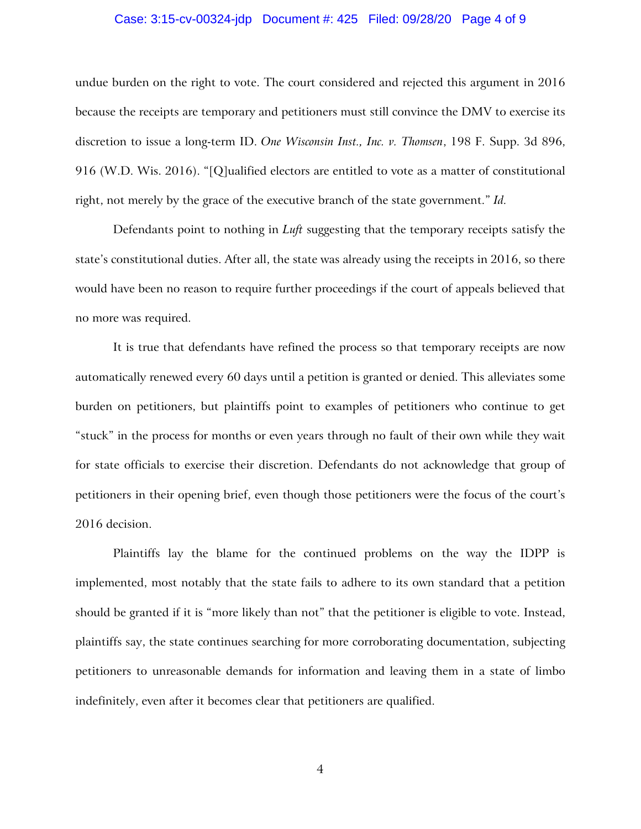## Case: 3:15-cv-00324-jdp Document #: 425 Filed: 09/28/20 Page 4 of 9

undue burden on the right to vote. The court considered and rejected this argument in 2016 because the receipts are temporary and petitioners must still convince the DMV to exercise its discretion to issue a long-term ID. *One Wisconsin Inst., Inc. v. Thomsen*, 198 F. Supp. 3d 896, 916 (W.D. Wis. 2016). "[Q]ualified electors are entitled to vote as a matter of constitutional right, not merely by the grace of the executive branch of the state government." *Id.*

Defendants point to nothing in *Luft* suggesting that the temporary receipts satisfy the state's constitutional duties. After all, the state was already using the receipts in 2016, so there would have been no reason to require further proceedings if the court of appeals believed that no more was required.

It is true that defendants have refined the process so that temporary receipts are now automatically renewed every 60 days until a petition is granted or denied. This alleviates some burden on petitioners, but plaintiffs point to examples of petitioners who continue to get "stuck" in the process for months or even years through no fault of their own while they wait for state officials to exercise their discretion. Defendants do not acknowledge that group of petitioners in their opening brief, even though those petitioners were the focus of the court's 2016 decision.

Plaintiffs lay the blame for the continued problems on the way the IDPP is implemented, most notably that the state fails to adhere to its own standard that a petition should be granted if it is "more likely than not" that the petitioner is eligible to vote. Instead, plaintiffs say, the state continues searching for more corroborating documentation, subjecting petitioners to unreasonable demands for information and leaving them in a state of limbo indefinitely, even after it becomes clear that petitioners are qualified.

4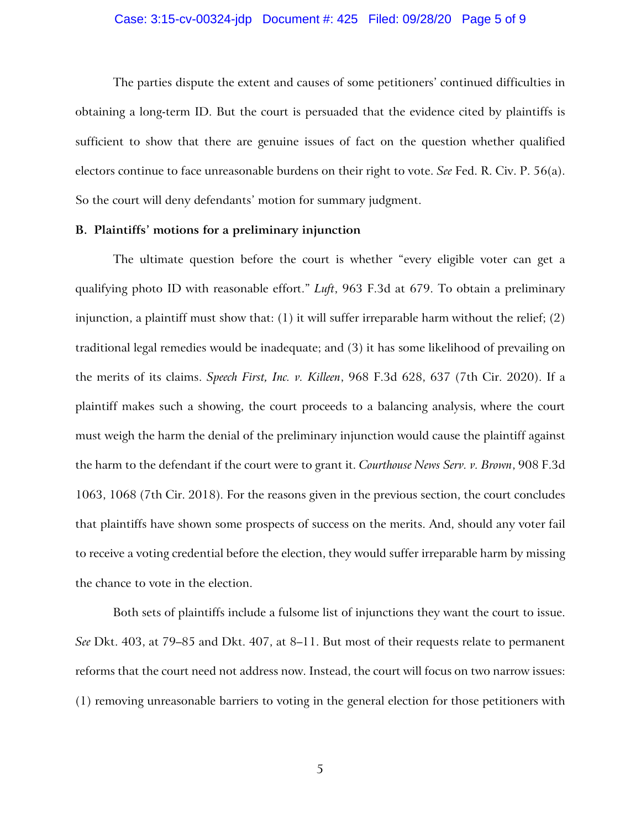The parties dispute the extent and causes of some petitioners' continued difficulties in obtaining a long-term ID. But the court is persuaded that the evidence cited by plaintiffs is sufficient to show that there are genuine issues of fact on the question whether qualified electors continue to face unreasonable burdens on their right to vote. *See* Fed. R. Civ. P. 56(a). So the court will deny defendants' motion for summary judgment.

## **B. Plaintiffs' motions for a preliminary injunction**

The ultimate question before the court is whether "every eligible voter can get a qualifying photo ID with reasonable effort." *Luft*, 963 F.3d at 679. To obtain a preliminary injunction, a plaintiff must show that:  $(1)$  it will suffer irreparable harm without the relief;  $(2)$ traditional legal remedies would be inadequate; and (3) it has some likelihood of prevailing on the merits of its claims. *Speech First, Inc. v. Killeen*, 968 F.3d 628, 637 (7th Cir. 2020). If a plaintiff makes such a showing, the court proceeds to a balancing analysis, where the court must weigh the harm the denial of the preliminary injunction would cause the plaintiff against the harm to the defendant if the court were to grant it. *Courthouse News Serv. v. Brown*, 908 F.3d 1063, 1068 (7th Cir. 2018). For the reasons given in the previous section, the court concludes that plaintiffs have shown some prospects of success on the merits. And, should any voter fail to receive a voting credential before the election, they would suffer irreparable harm by missing the chance to vote in the election.

Both sets of plaintiffs include a fulsome list of injunctions they want the court to issue. *See* Dkt. 403, at 79–85 and Dkt. 407, at 8–11. But most of their requests relate to permanent reforms that the court need not address now. Instead, the court will focus on two narrow issues: (1) removing unreasonable barriers to voting in the general election for those petitioners with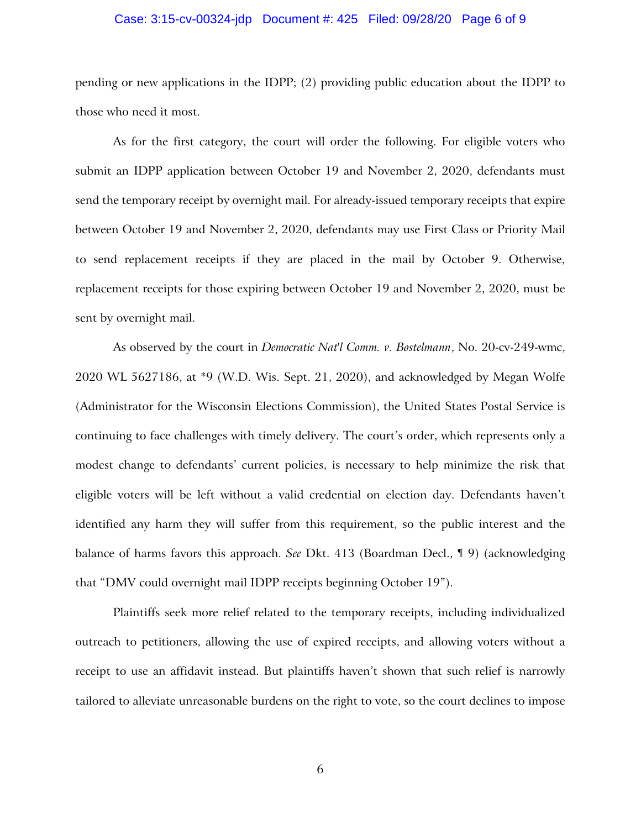# Case: 3:15-cv-00324-jdp Document #: 425 Filed: 09/28/20 Page 6 of 9

pending or new applications in the IDPP; (2) providing public education about the IDPP to those who need it most.

As for the first category, the court will order the following. For eligible voters who submit an IDPP application between October 19 and November 2, 2020, defendants must send the temporary receipt by overnight mail. For already-issued temporary receipts that expire between October 19 and November 2, 2020, defendants may use First Class or Priority Mail to send replacement receipts if they are placed in the mail by October 9. Otherwise, replacement receipts for those expiring between October 19 and November 2, 2020, must be sent by overnight mail.

As observed by the court in *Democratic Nat'l Comm. v. Bostelmann*, No. 20-cv-249-wmc, 2020 WL 5627186, at \*9 (W.D. Wis. Sept. 21, 2020), and acknowledged by Megan Wolfe (Administrator for the Wisconsin Elections Commission), the United States Postal Service is continuing to face challenges with timely delivery. The court's order, which represents only a modest change to defendants' current policies, is necessary to help minimize the risk that eligible voters will be left without a valid credential on election day. Defendants haven't identified any harm they will suffer from this requirement, so the public interest and the balance of harms favors this approach. *See* Dkt. 413 (Boardman Decl., ¶ 9) (acknowledging that "DMV could overnight mail IDPP receipts beginning October 19").

Plaintiffs seek more relief related to the temporary receipts, including individualized outreach to petitioners, allowing the use of expired receipts, and allowing voters without a receipt to use an affidavit instead. But plaintiffs haven't shown that such relief is narrowly tailored to alleviate unreasonable burdens on the right to vote, so the court declines to impose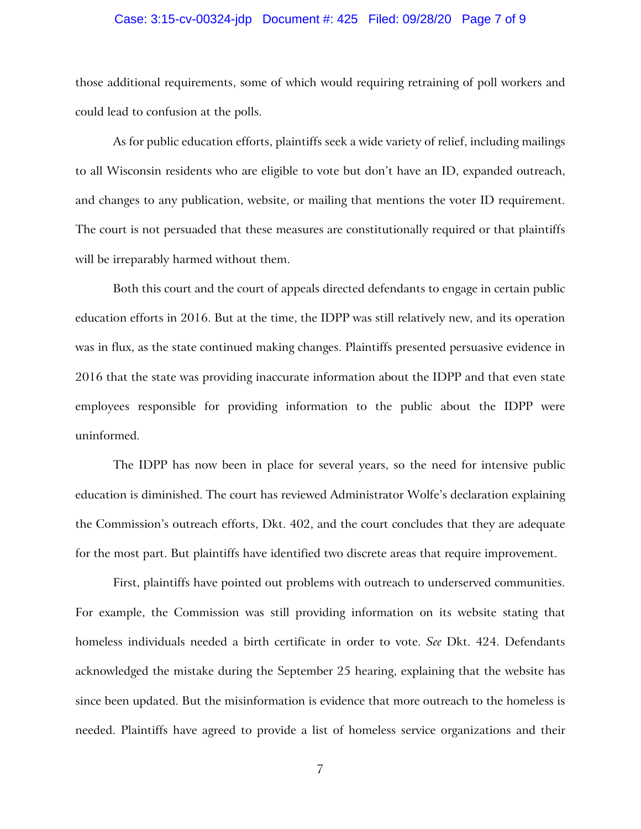# Case: 3:15-cv-00324-jdp Document #: 425 Filed: 09/28/20 Page 7 of 9

those additional requirements, some of which would requiring retraining of poll workers and could lead to confusion at the polls.

As for public education efforts, plaintiffs seek a wide variety of relief, including mailings to all Wisconsin residents who are eligible to vote but don't have an ID, expanded outreach, and changes to any publication, website, or mailing that mentions the voter ID requirement. The court is not persuaded that these measures are constitutionally required or that plaintiffs will be irreparably harmed without them.

Both this court and the court of appeals directed defendants to engage in certain public education efforts in 2016. But at the time, the IDPP was still relatively new, and its operation was in flux, as the state continued making changes. Plaintiffs presented persuasive evidence in 2016 that the state was providing inaccurate information about the IDPP and that even state employees responsible for providing information to the public about the IDPP were uninformed.

The IDPP has now been in place for several years, so the need for intensive public education is diminished. The court has reviewed Administrator Wolfe's declaration explaining the Commission's outreach efforts, Dkt. 402, and the court concludes that they are adequate for the most part. But plaintiffs have identified two discrete areas that require improvement.

First, plaintiffs have pointed out problems with outreach to underserved communities. For example, the Commission was still providing information on its website stating that homeless individuals needed a birth certificate in order to vote. *See* Dkt. 424. Defendants acknowledged the mistake during the September 25 hearing, explaining that the website has since been updated. But the misinformation is evidence that more outreach to the homeless is needed. Plaintiffs have agreed to provide a list of homeless service organizations and their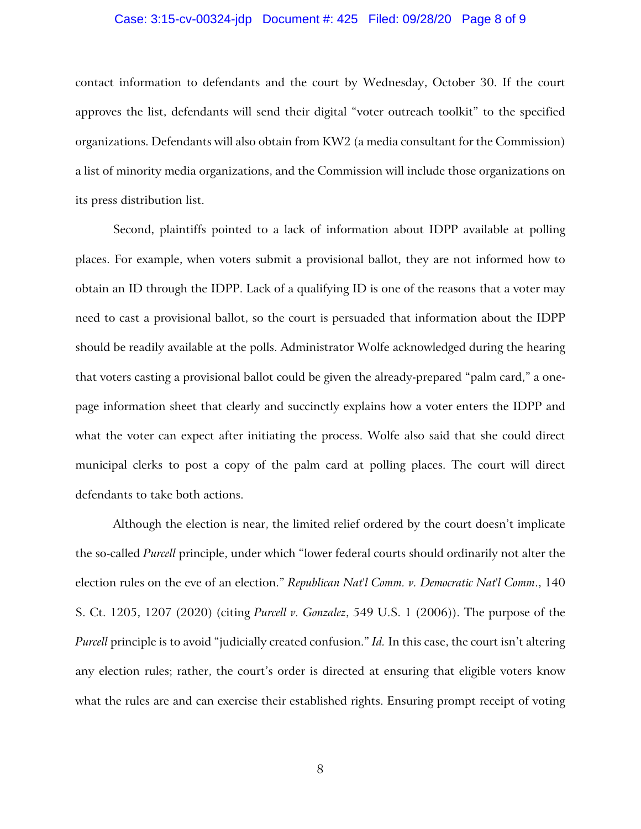## Case: 3:15-cv-00324-jdp Document #: 425 Filed: 09/28/20 Page 8 of 9

contact information to defendants and the court by Wednesday, October 30. If the court approves the list, defendants will send their digital "voter outreach toolkit" to the specified organizations. Defendants will also obtain from KW2 (a media consultant for the Commission) a list of minority media organizations, and the Commission will include those organizations on its press distribution list.

Second, plaintiffs pointed to a lack of information about IDPP available at polling places. For example, when voters submit a provisional ballot, they are not informed how to obtain an ID through the IDPP. Lack of a qualifying ID is one of the reasons that a voter may need to cast a provisional ballot, so the court is persuaded that information about the IDPP should be readily available at the polls. Administrator Wolfe acknowledged during the hearing that voters casting a provisional ballot could be given the already-prepared "palm card," a onepage information sheet that clearly and succinctly explains how a voter enters the IDPP and what the voter can expect after initiating the process. Wolfe also said that she could direct municipal clerks to post a copy of the palm card at polling places. The court will direct defendants to take both actions.

Although the election is near, the limited relief ordered by the court doesn't implicate the so-called *Purcell* principle, under which "lower federal courts should ordinarily not alter the election rules on the eve of an election." *Republican Nat'l Comm. v. Democratic Nat'l Comm*., 140 S. Ct. 1205, 1207 (2020) (citing *Purcell v. Gonzalez*, 549 U.S. 1 (2006)). The purpose of the *Purcell* principle is to avoid "judicially created confusion." *Id.* In this case, the court isn't altering any election rules; rather, the court's order is directed at ensuring that eligible voters know what the rules are and can exercise their established rights. Ensuring prompt receipt of voting